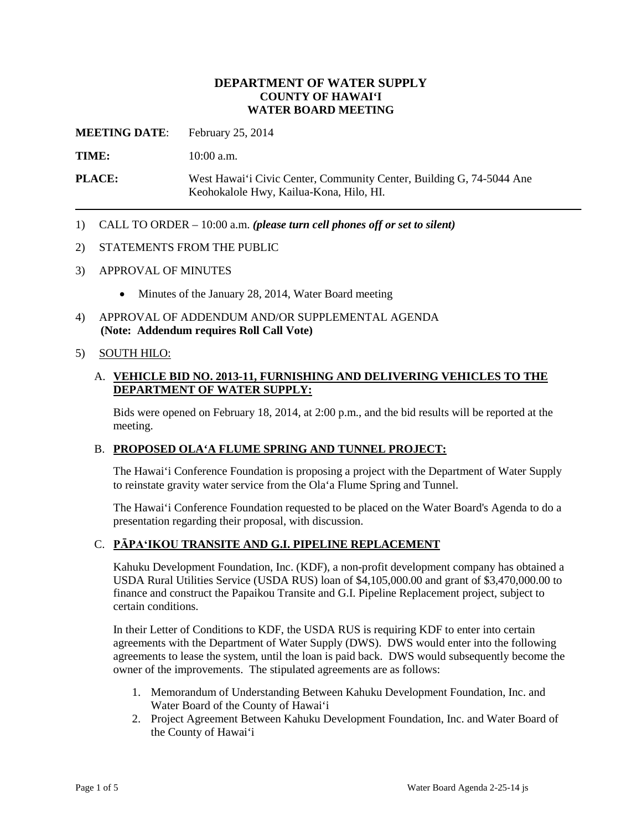### **DEPARTMENT OF WATER SUPPLY COUNTY OF HAWAI'I WATER BOARD MEETING**

**MEETING DATE**: February 25, 2014

**TIME:** 10:00 a.m.

**PLACE:** West Hawai'i Civic Center, Community Center, Building G, 74-5044 Ane Keohokalole Hwy, Kailua-Kona, Hilo, HI.

1) CALL TO ORDER – 10:00 a.m. *(please turn cell phones off or set to silent)*

#### 2) STATEMENTS FROM THE PUBLIC

- 3) APPROVAL OF MINUTES
	- Minutes of the January 28, 2014, Water Board meeting
- 4) APPROVAL OF ADDENDUM AND/OR SUPPLEMENTAL AGENDA **(Note: Addendum requires Roll Call Vote)**

#### 5) SOUTH HILO:

#### A. **VEHICLE BID NO. 2013-11, FURNISHING AND DELIVERING VEHICLES TO THE DEPARTMENT OF WATER SUPPLY:**

Bids were opened on February 18, 2014, at 2:00 p.m., and the bid results will be reported at the meeting.

#### B. **PROPOSED OLA'A FLUME SPRING AND TUNNEL PROJECT:**

The Hawai'i Conference Foundation is proposing a project with the Department of Water Supply to reinstate gravity water service from the Ola'a Flume Spring and Tunnel.

The Hawai'i Conference Foundation requested to be placed on the Water Board's Agenda to do a presentation regarding their proposal, with discussion.

#### C. **PĀPA'IKOU TRANSITE AND G.I. PIPELINE REPLACEMENT**

Kahuku Development Foundation, Inc. (KDF), a non-profit development company has obtained a USDA Rural Utilities Service (USDA RUS) loan of \$4,105,000.00 and grant of \$3,470,000.00 to finance and construct the Papaikou Transite and G.I. Pipeline Replacement project, subject to certain conditions.

In their Letter of Conditions to KDF, the USDA RUS is requiring KDF to enter into certain agreements with the Department of Water Supply (DWS). DWS would enter into the following agreements to lease the system, until the loan is paid back. DWS would subsequently become the owner of the improvements. The stipulated agreements are as follows:

- 1. Memorandum of Understanding Between Kahuku Development Foundation, Inc. and Water Board of the County of Hawai'i
- 2. Project Agreement Between Kahuku Development Foundation, Inc. and Water Board of the County of Hawai'i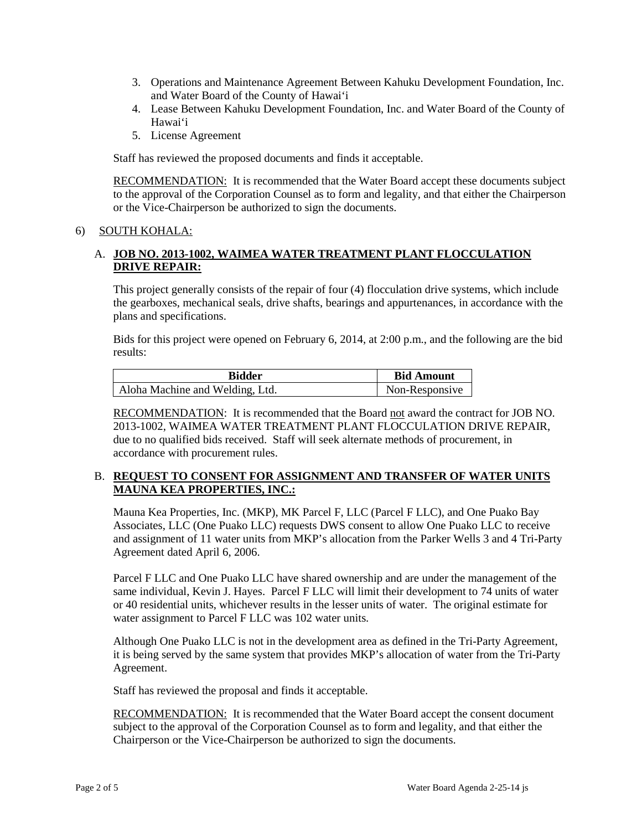- 3. Operations and Maintenance Agreement Between Kahuku Development Foundation, Inc. and Water Board of the County of Hawai'i
- 4. Lease Between Kahuku Development Foundation, Inc. and Water Board of the County of Hawai'i
- 5. License Agreement

Staff has reviewed the proposed documents and finds it acceptable.

RECOMMENDATION: It is recommended that the Water Board accept these documents subject to the approval of the Corporation Counsel as to form and legality, and that either the Chairperson or the Vice-Chairperson be authorized to sign the documents.

### 6) SOUTH KOHALA:

### A. **JOB NO. 2013-1002, WAIMEA WATER TREATMENT PLANT FLOCCULATION DRIVE REPAIR:**

This project generally consists of the repair of four (4) flocculation drive systems, which include the gearboxes, mechanical seals, drive shafts, bearings and appurtenances, in accordance with the plans and specifications.

Bids for this project were opened on February 6, 2014, at 2:00 p.m., and the following are the bid results:

| <b>Bidder</b>                   | <b>Bid Amount</b> |
|---------------------------------|-------------------|
| Aloha Machine and Welding, Ltd. | Non-Responsive    |

RECOMMENDATION: It is recommended that the Board not award the contract for JOB NO. 2013-1002, WAIMEA WATER TREATMENT PLANT FLOCCULATION DRIVE REPAIR, due to no qualified bids received. Staff will seek alternate methods of procurement, in accordance with procurement rules.

### B. **REQUEST TO CONSENT FOR ASSIGNMENT AND TRANSFER OF WATER UNITS MAUNA KEA PROPERTIES, INC.:**

Mauna Kea Properties, Inc. (MKP), MK Parcel F, LLC (Parcel F LLC), and One Puako Bay Associates, LLC (One Puako LLC) requests DWS consent to allow One Puako LLC to receive and assignment of 11 water units from MKP's allocation from the Parker Wells 3 and 4 Tri-Party Agreement dated April 6, 2006.

Parcel F LLC and One Puako LLC have shared ownership and are under the management of the same individual, Kevin J. Hayes. Parcel F LLC will limit their development to 74 units of water or 40 residential units, whichever results in the lesser units of water. The original estimate for water assignment to Parcel F LLC was 102 water units.

Although One Puako LLC is not in the development area as defined in the Tri-Party Agreement, it is being served by the same system that provides MKP's allocation of water from the Tri-Party Agreement.

Staff has reviewed the proposal and finds it acceptable.

RECOMMENDATION: It is recommended that the Water Board accept the consent document subject to the approval of the Corporation Counsel as to form and legality, and that either the Chairperson or the Vice-Chairperson be authorized to sign the documents.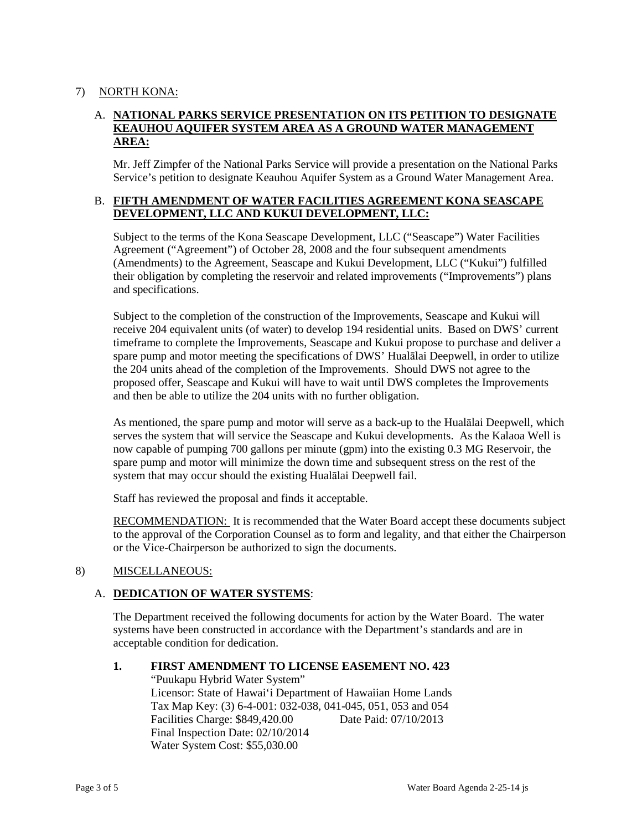### 7) NORTH KONA:

# A. **NATIONAL PARKS SERVICE PRESENTATION ON ITS PETITION TO DESIGNATE KEAUHOU AQUIFER SYSTEM AREA AS A GROUND WATER MANAGEMENT AREA:**

Mr. Jeff Zimpfer of the National Parks Service will provide a presentation on the National Parks Service's petition to designate Keauhou Aquifer System as a Ground Water Management Area.

#### B. **FIFTH AMENDMENT OF WATER FACILITIES AGREEMENT KONA SEASCAPE DEVELOPMENT, LLC AND KUKUI DEVELOPMENT, LLC:**

Subject to the terms of the Kona Seascape Development, LLC ("Seascape") Water Facilities Agreement ("Agreement") of October 28, 2008 and the four subsequent amendments (Amendments) to the Agreement, Seascape and Kukui Development, LLC ("Kukui") fulfilled their obligation by completing the reservoir and related improvements ("Improvements") plans and specifications.

Subject to the completion of the construction of the Improvements, Seascape and Kukui will receive 204 equivalent units (of water) to develop 194 residential units. Based on DWS' current timeframe to complete the Improvements, Seascape and Kukui propose to purchase and deliver a spare pump and motor meeting the specifications of DWS' Hualālai Deepwell, in order to utilize the 204 units ahead of the completion of the Improvements. Should DWS not agree to the proposed offer, Seascape and Kukui will have to wait until DWS completes the Improvements and then be able to utilize the 204 units with no further obligation.

As mentioned, the spare pump and motor will serve as a back-up to the Hualālai Deepwell, which serves the system that will service the Seascape and Kukui developments. As the Kalaoa Well is now capable of pumping 700 gallons per minute (gpm) into the existing 0.3 MG Reservoir, the spare pump and motor will minimize the down time and subsequent stress on the rest of the system that may occur should the existing Hualālai Deepwell fail.

Staff has reviewed the proposal and finds it acceptable.

RECOMMENDATION: It is recommended that the Water Board accept these documents subject to the approval of the Corporation Counsel as to form and legality, and that either the Chairperson or the Vice-Chairperson be authorized to sign the documents.

# 8) MISCELLANEOUS:

# A. **DEDICATION OF WATER SYSTEMS**:

The Department received the following documents for action by the Water Board. The water systems have been constructed in accordance with the Department's standards and are in acceptable condition for dedication.

#### **1. FIRST AMENDMENT TO LICENSE EASEMENT NO. 423**

"Puukapu Hybrid Water System" Licensor: State of Hawai'i Department of Hawaiian Home Lands Tax Map Key: (3) 6-4-001: 032-038, 041-045, 051, 053 and 054 Facilities Charge: \$849,420.00 Date Paid: 07/10/2013 Final Inspection Date: 02/10/2014 Water System Cost: \$55,030.00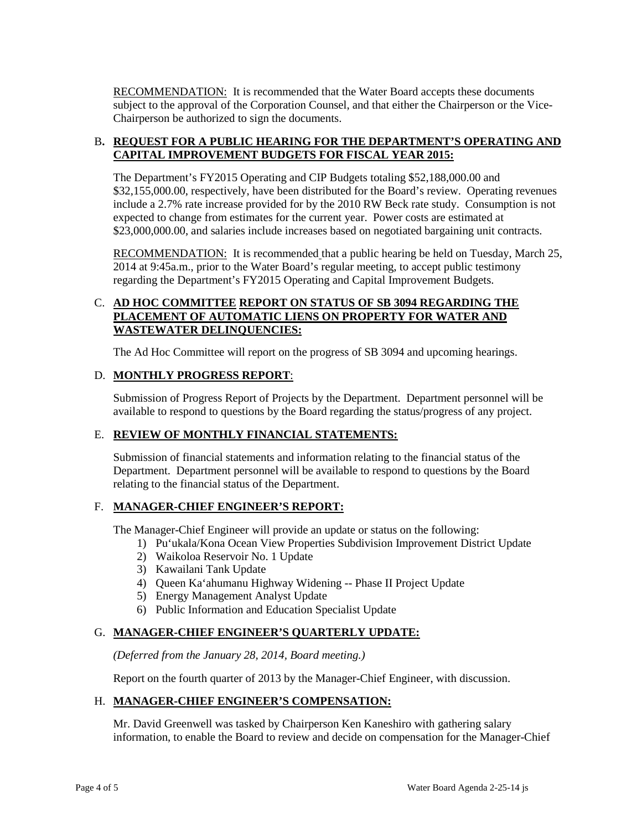RECOMMENDATION: It is recommended that the Water Board accepts these documents subject to the approval of the Corporation Counsel, and that either the Chairperson or the Vice-Chairperson be authorized to sign the documents.

# B**. REQUEST FOR A PUBLIC HEARING FOR THE DEPARTMENT'S OPERATING AND CAPITAL IMPROVEMENT BUDGETS FOR FISCAL YEAR 2015:**

The Department's FY2015 Operating and CIP Budgets totaling \$52,188,000.00 and \$32,155,000.00, respectively, have been distributed for the Board's review. Operating revenues include a 2.7% rate increase provided for by the 2010 RW Beck rate study. Consumption is not expected to change from estimates for the current year. Power costs are estimated at \$23,000,000.00, and salaries include increases based on negotiated bargaining unit contracts.

RECOMMENDATION: It is recommended that a public hearing be held on Tuesday, March 25, 2014 at 9:45a.m., prior to the Water Board's regular meeting, to accept public testimony regarding the Department's FY2015 Operating and Capital Improvement Budgets.

# C. **AD HOC COMMITTEE REPORT ON STATUS OF SB 3094 REGARDING THE PLACEMENT OF AUTOMATIC LIENS ON PROPERTY FOR WATER AND WASTEWATER DELINQUENCIES:**

The Ad Hoc Committee will report on the progress of SB 3094 and upcoming hearings.

# D. **MONTHLY PROGRESS REPORT**:

Submission of Progress Report of Projects by the Department. Department personnel will be available to respond to questions by the Board regarding the status/progress of any project.

# E. **REVIEW OF MONTHLY FINANCIAL STATEMENTS:**

Submission of financial statements and information relating to the financial status of the Department. Department personnel will be available to respond to questions by the Board relating to the financial status of the Department.

# F. **MANAGER-CHIEF ENGINEER'S REPORT:**

The Manager-Chief Engineer will provide an update or status on the following:

- 1) Pu'ukala/Kona Ocean View Properties Subdivision Improvement District Update
- 2) Waikoloa Reservoir No. 1 Update
- 3) Kawailani Tank Update
- 4) Queen Ka'ahumanu Highway Widening -- Phase II Project Update
- 5) Energy Management Analyst Update
- 6) Public Information and Education Specialist Update

# G. **MANAGER-CHIEF ENGINEER'S QUARTERLY UPDATE:**

*(Deferred from the January 28, 2014, Board meeting.)*

Report on the fourth quarter of 2013 by the Manager-Chief Engineer, with discussion.

# H. **MANAGER-CHIEF ENGINEER'S COMPENSATION:**

Mr. David Greenwell was tasked by Chairperson Ken Kaneshiro with gathering salary information, to enable the Board to review and decide on compensation for the Manager-Chief